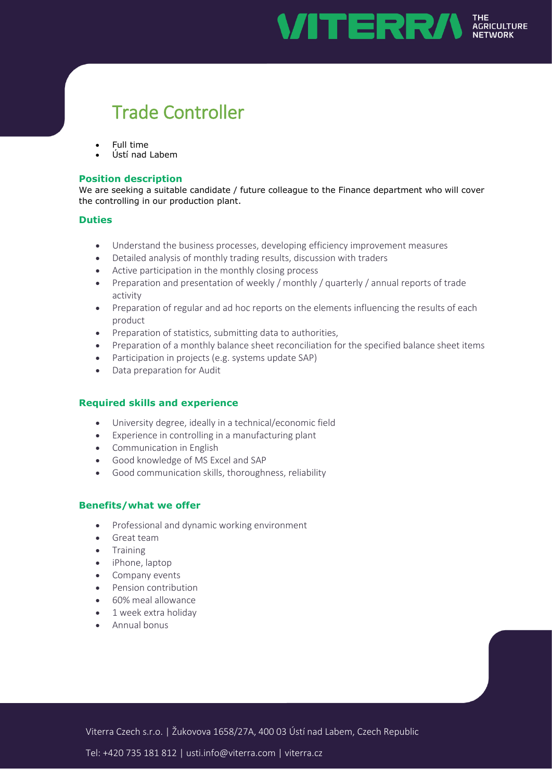

# Trade Controller

- Full time
- Ústí nad Labem

#### **Position description**

We are seeking a suitable candidate / future colleague to the Finance department who will cover the controlling in our production plant.

#### **Duties**

- Understand the business processes, developing efficiency improvement measures
- Detailed analysis of monthly trading results, discussion with traders
- Active participation in the monthly closing process
- Preparation and presentation of weekly / monthly / quarterly / annual reports of trade activity
- Preparation of regular and ad hoc reports on the elements influencing the results of each product
- Preparation of statistics, submitting data to authorities,
- Preparation of a monthly balance sheet reconciliation for the specified balance sheet items
- Participation in projects (e.g. systems update SAP)
- Data preparation for Audit

## **Required skills and experience**

- University degree, ideally in a technical/economic field
- Experience in controlling in a manufacturing plant
- Communication in English
- Good knowledge of MS Excel and SAP
- Good communication skills, thoroughness, reliability

## **Benefits/what we offer**

- Professional and dynamic working environment
- **•** Great team
- **•** Training
- iPhone, laptop
- Company events
- Pension contribution
- 60% meal allowance
- 1 week extra holiday
- Annual bonus

Viterra Czech s.r.o. | Žukovova 1658/27A, 400 03 Ústí nad Labem, Czech Republic

Tel: +420 735 181 812 | usti.info@viterra.com | viterra.cz